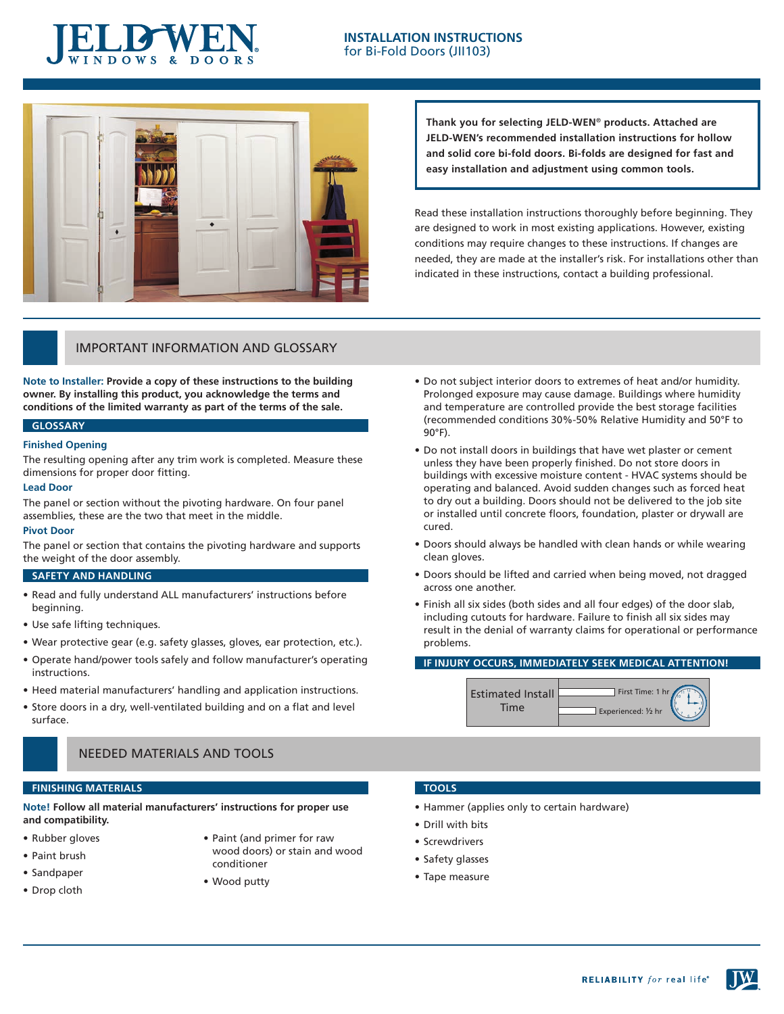

### **INSTALLATION INSTRUCTIONS** for Bi-Fold Doors (JII103)



**Thank you for selecting JELD-WEN**® **products. Attached are JELD-WEN's recommended installation instructions for hollow and solid core bi-fold doors. Bi-folds are designed for fast and easy installation and adjustment using common tools.**

Read these installation instructions thoroughly before beginning. They are designed to work in most existing applications. However, existing conditions may require changes to these instructions. If changes are needed, they are made at the installer's risk. For installations other than indicated in these instructions, contact a building professional.

## IMPORTANT INFORMATION AND GLOSSARY

**Note to Installer: Provide a copy of these instructions to the building owner. By installing this product, you acknowledge the terms and conditions of the limited warranty as part of the terms of the sale.**

### **GLOSSARY**

#### **Finished Opening**

The resulting opening after any trim work is completed. Measure these dimensions for proper door fitting.

#### **Lead Door**

The panel or section without the pivoting hardware. On four panel assemblies, these are the two that meet in the middle.

#### **Pivot Door**

The panel or section that contains the pivoting hardware and supports the weight of the door assembly.

### **SAFETY AND HANDLING**

- Read and fully understand ALL manufacturers' instructions before beginning.
- Use safe lifting techniques.
- Wear protective gear (e.g. safety glasses, gloves, ear protection, etc.).
- Operate hand/power tools safely and follow manufacturer's operating instructions.
- Heed material manufacturers' handling and application instructions.
- Store doors in a dry, well-ventilated building and on a flat and level surface.

### NEEDED MATERIALS AND TOOLS

#### **FINISHING MATERIALS**

**Note! Follow all material manufacturers' instructions for proper use and compatibility.**

- • Rubber gloves
- • Paint brush
- • Sandpaper
- • Drop cloth
- • Paint (and primer for raw wood doors) or stain and wood conditioner
- • Wood putty

### **TOOLS**

- Hammer (applies only to certain hardware)
- • Drill with bits
- • Screwdrivers
- • Safety glasses
- • Tape measure

## • Do not subject interior doors to extremes of heat and/or humidity. Prolonged exposure may cause damage. Buildings where humidity and temperature are controlled provide the best storage facilities (recommended conditions 30%-50% Relative Humidity and 50°F to 90°F).

- Do not install doors in buildings that have wet plaster or cement unless they have been properly finished. Do not store doors in buildings with excessive moisture content - HVAC systems should be operating and balanced. Avoid sudden changes such as forced heat to dry out a building. Doors should not be delivered to the job site or installed until concrete floors, foundation, plaster or drywall are cured.
- Doors should always be handled with clean hands or while wearing clean gloves.
- Doors should be lifted and carried when being moved, not dragged across one another.
- Finish all six sides (both sides and all four edges) of the door slab, including cutouts for hardware. Failure to finish all six sides may result in the denial of warranty claims for operational or performance problems.

### **IF INJURY OCCURS, IMMEDIATELY SEEK MEDICAL ATTENTION!**



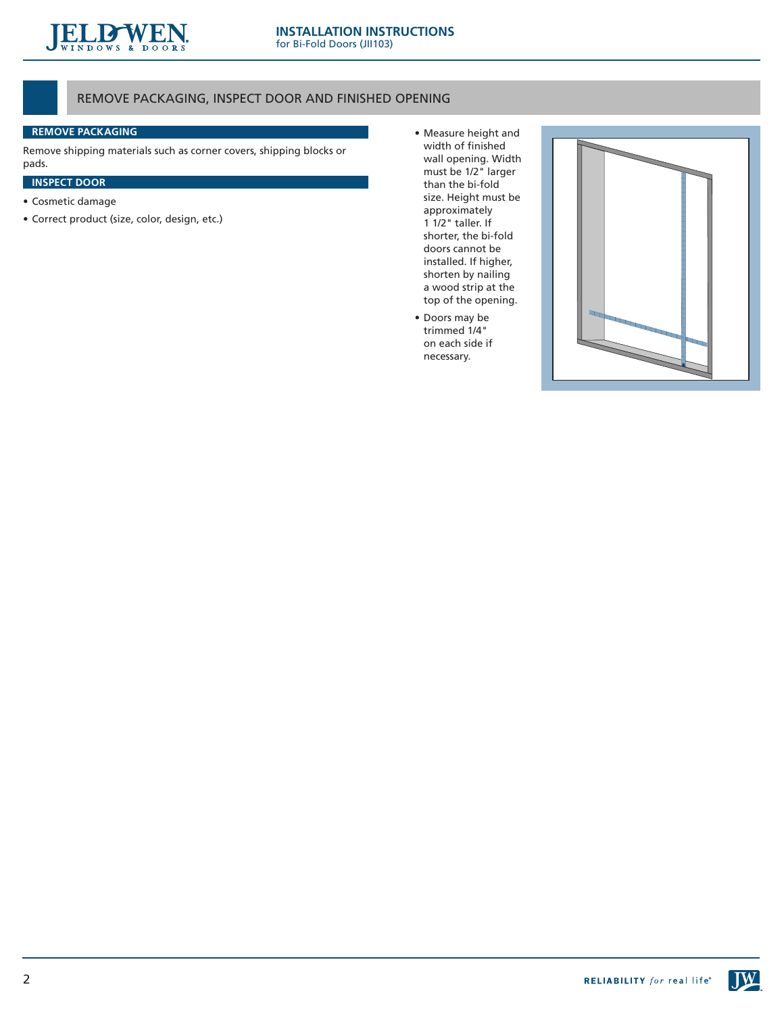

## REMOVE PACKAGING, INSPECT DOOR AND FINISHED OPENING

### **REMOVE PACKAGING**

Remove shipping materials such as corner covers, shipping blocks or pads.

## **INSPECT DOOR**

- • Cosmetic damage
- • Correct product (size, color, design, etc.)
- • Measure height and width of finished wall opening. Width must be 1/2" larger than the bi-fold size. Height must be approximately 1 1/2" taller. If shorter, the bi-fold doors cannot be installed. If higher, shorten by nailing a wood strip at the top of the opening.
- • Doors may be trimmed 1/4" on each side if necessary.



JW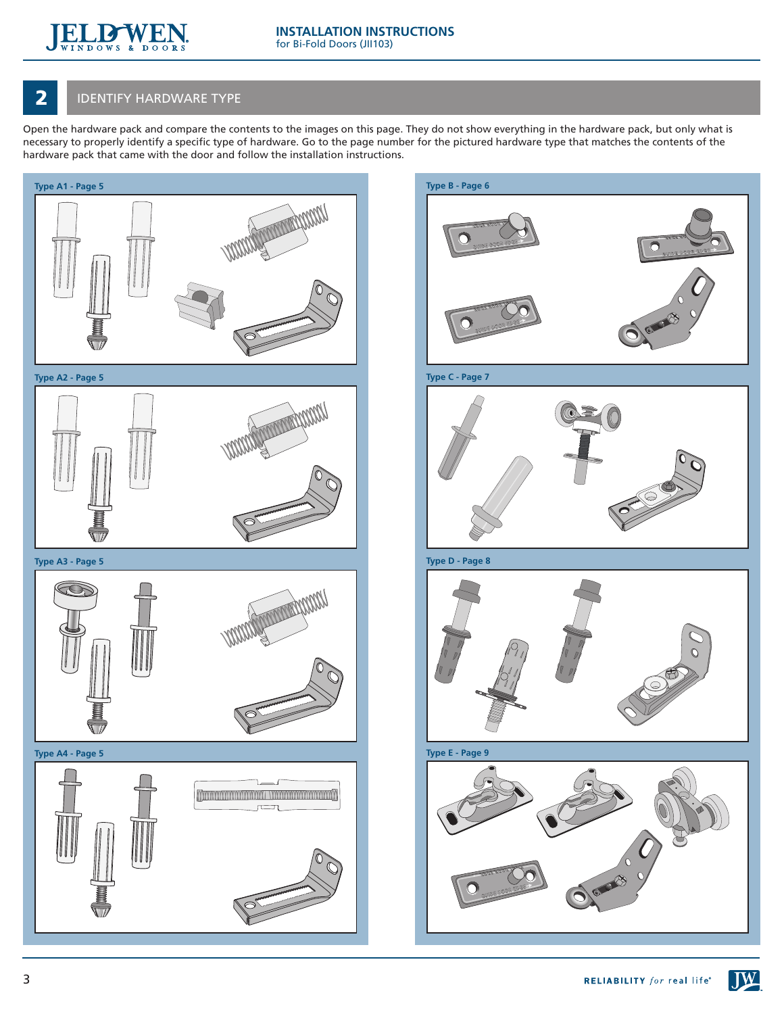

## **2** IDENTIFY HARDWARE TYPE

Open the hardware pack and compare the contents to the images on this page. They do not show everything in the hardware pack, but only what is necessary to properly identify a specific type of hardware. Go to the page number for the pictured hardware type that matches the contents of the hardware pack that came with the door and follow the installation instructions.



 $J$ **W**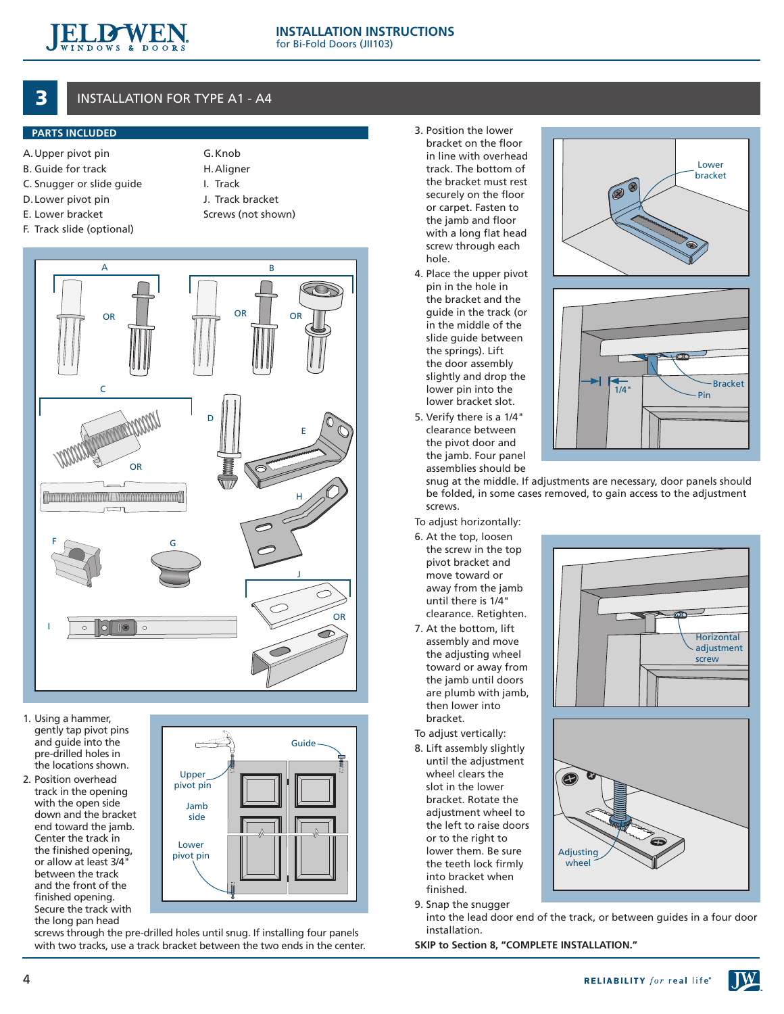

# INSTALLATION FOR TYPE A1 - A4

### **PARTS INCLUDED**

- A. Upper pivot pin
- B. Guide for track
- C. Snugger or slide guide
- D. Lower pivot pin
- E. Lower bracket
- F. Track slide (optional)

| G. Knob    |
|------------|
| H. Aligner |
|            |

- I. Track
	- J. Track bracket Screws (not shown)
- 



- 1. Using a hammer, gently tap pivot pins and guide into the pre-drilled holes in the locations shown.
- 2. Position overhead track in the opening with the open side down and the bracket end toward the jamb. Center the track in the finished opening, or allow at least 3/4" between the track and the front of the finished opening. Secure the track with the long pan head



screws through the pre-drilled holes until snug. If installing four panels with two tracks, use a track bracket between the two ends in the center.

- 3. Position the lower bracket on the floor in line with overhead track. The bottom of the bracket must rest securely on the floor or carpet. Fasten to the jamb and floor with a long flat head screw through each hole.
- 4. Place the upper pivot pin in the hole in the bracket and the guide in the track (or in the middle of the slide guide between the springs). Lift the door assembly slightly and drop the lower pin into the lower bracket slot.
- 5. Verify there is a 1/4" clearance between the pivot door and the jamb. Four panel assemblies should be





snug at the middle. If adjustments are necessary, door panels should be folded, in some cases removed, to gain access to the adjustment screws.

To adjust horizontally:

- 6. At the top, loosen the screw in the top pivot bracket and move toward or away from the jamb until there is 1/4" clearance. Retighten.
- 7. At the bottom, lift assembly and move the adjusting wheel toward or away from the jamb until doors are plumb with jamb, then lower into bracket.

To adjust vertically:

- 8. Lift assembly slightly until the adjustment wheel clears the slot in the lower bracket. Rotate the adjustment wheel to the left to raise doors or to the right to lower them. Be sure the teeth lock firmlv into bracket when finished.
- 9. Snap the snugger

into the lead door end of the track, or between guides in a four door installation.

**SKIP to Section 8, "COMPLETE INSTALLATION."**





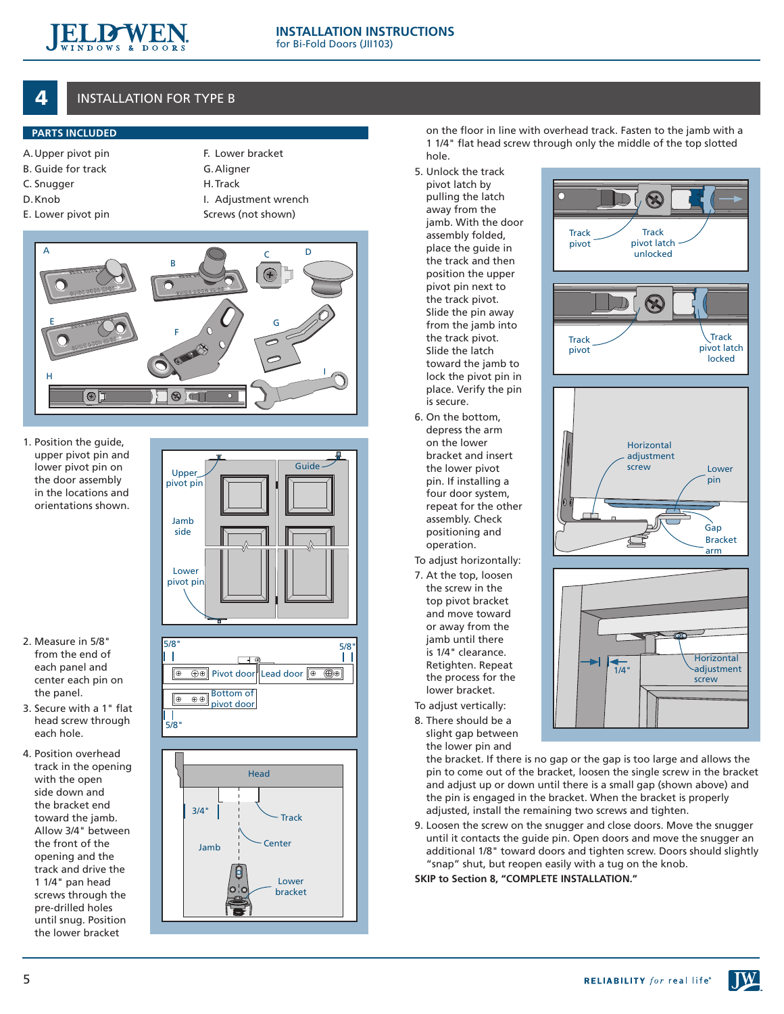

## **INSTALLATION FOR TYPE B**

## **PARTS INCLUDED**

- A.Upper pivot pin
- B. Guide for track
- C. Snugger
- D. Knob
- G. Aligner
	- H. Track
		-

F. Lower bracket

- E. Lower pivot pin
- I. Adjustment wrench Screws (not shown)



1. Position the guide, upper pivot pin and lower pivot pin on the door assembly in the locations and orientations shown.



- 2. Measure in 5/8" from the end of each panel and center each pin on the panel.
- 3. Secure with a 1" flat head screw through each hole.
- 4. Position overhead track in the opening with the open side down and the bracket end toward the jamb. Allow 3/4" between the front of the opening and the track and drive the 1 1/4" pan head screws through the pre-drilled holes until snug. Position the lower bracket



5/8"

Ш



on the floor in line with overhead track. Fasten to the jamb with a 1 1/4" flat head screw through only the middle of the top slotted hole.

- 5. Unlock the track pivot latch by pulling the latch away from the jamb. With the door assembly folded, place the guide in the track and then position the upper pivot pin next to the track pivot. Slide the pin away from the jamb into the track pivot. Slide the latch toward the jamb to lock the pivot pin in place. Verify the pin is secure.
- 6. On the bottom, depress the arm on the lower bracket and insert the lower pivot pin. If installing a four door system, repeat for the other assembly. Check positioning and operation.
- To adjust horizontally:
- 7. At the top, loosen the screw in the top pivot bracket and move toward or away from the jamb until there is 1/4" clearance. Retighten. Repeat the process for the lower bracket.
- To adjust vertically:
- 8. There should be a slight gap between the lower pin and



9. Loosen the screw on the snugger and close doors. Move the snugger until it contacts the guide pin. Open doors and move the snugger an additional 1/8" toward doors and tighten screw. Doors should slightly "snap" shut, but reopen easily with a tug on the knob.

**SKIP to Section 8, "COMPLETE INSTALLATION."**

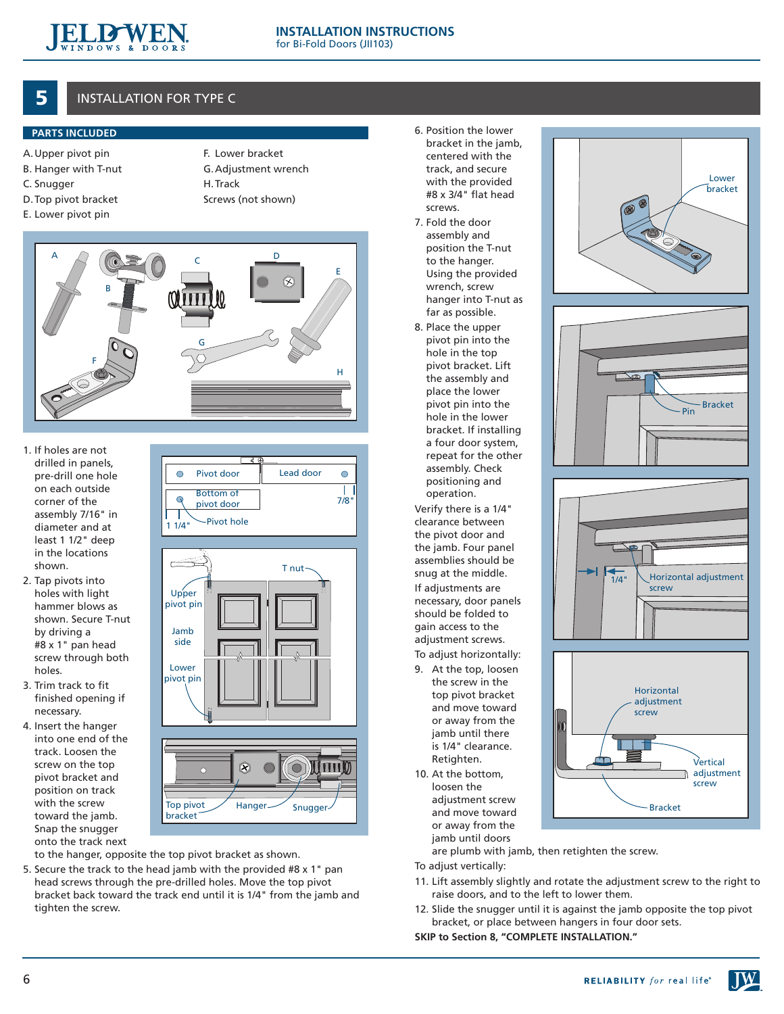

# 5 INSTALLATION FOR TYPE C

## **PARTS INCLUDED**

- A.Upper pivot pin
- B. Hanger with T-nut
- C. Snugger
- D. Top pivot bracket
- E. Lower pivot pin
- F. Lower bracket G. Adjustment wrench H. Track Screws (not shown)
- A B <sup>C</sup> <sup>D</sup> E F G H
- 1. If holes are not drilled in panels, pre-drill one hole on each outside corner of the assembly 7/16" in diameter and at least 1 1/2" deep in the locations shown.
- 2. Tap pivots into holes with light hammer blows as shown. Secure T-nut by driving a #8 x 1" pan head screw through both holes.
- 3. Trim track to fit finished opening if necessary.
- 4. Insert the hanger into one end of the track. Loosen the screw on the top pivot bracket and position on track with the screw toward the jamb. Snap the snugger onto the track next



to the hanger, opposite the top pivot bracket as shown.

5. Secure the track to the head jamb with the provided #8 x 1" pan head screws through the pre-drilled holes. Move the top pivot bracket back toward the track end until it is 1/4" from the jamb and tighten the screw.

- 6. Position the lower bracket in the jamb, centered with the track, and secure with the provided #8 x 3/4" flat head screws.
- 7. Fold the door assembly and position the T-nut to the hanger. Using the provided wrench, screw hanger into T-nut as far as possible.
- 8. Place the upper pivot pin into the hole in the top pivot bracket. Lift the assembly and place the lower pivot pin into the hole in the lower bracket. If installing a four door system, repeat for the other assembly. Check positioning and operation.

Verify there is a 1/4" clearance between the pivot door and the jamb. Four panel assemblies should be snug at the middle. If adjustments are necessary, door panels should be folded to gain access to the adjustment screws. To adjust horizontally:

- 9. At the top, loosen the screw in the
- top pivot bracket and move toward or away from the jamb until there is 1/4" clearance. Retighten.
- 10. At the bottom, loosen the adjustment screw and move toward or away from the jamb until doors

are plumb with jamb, then retighten the screw.

- To adjust vertically:
- 11. Lift assembly slightly and rotate the adjustment screw to the right to raise doors, and to the left to lower them.
- 12. Slide the snugger until it is against the jamb opposite the top pivot bracket, or place between hangers in four door sets.

**SKIP to Section 8, "COMPLETE INSTALLATION."**









 $\mathbf{M}$ 

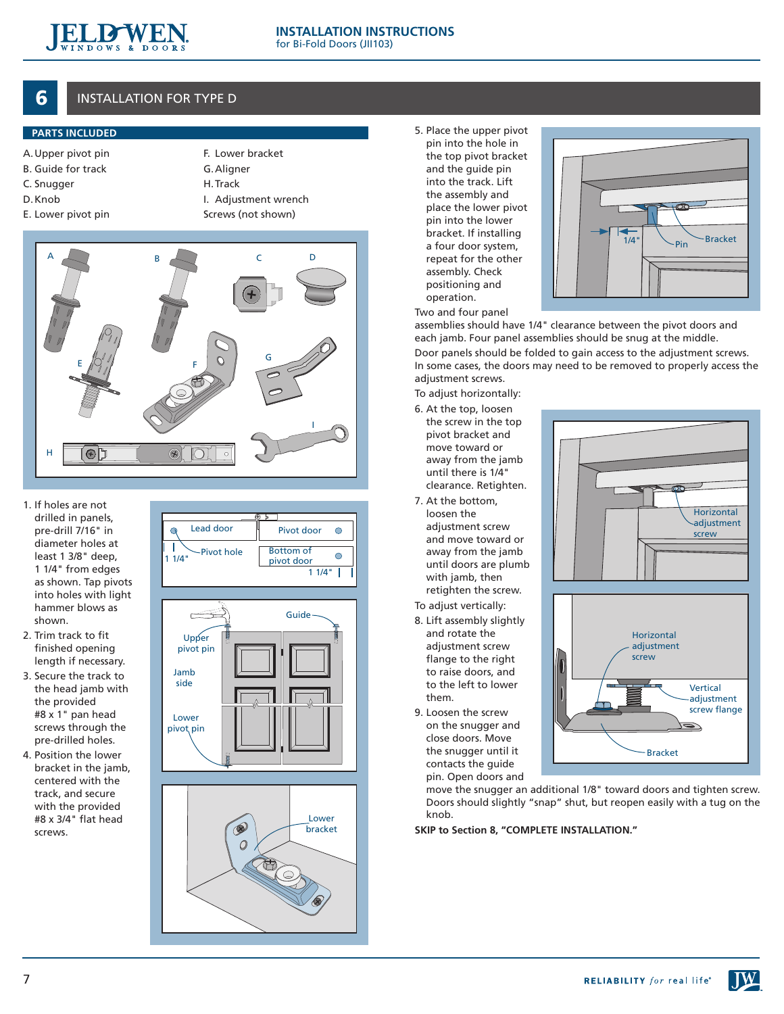

## **6** INSTALLATION FOR TYPE D

### **PARTS INCLUDED**

- A.Upper pivot pin
- B. Guide for track
- C. Snugger
- D. Knob E. Lower pivot pin
- F. Lower bracket G. Aligner

H. Track

- I. Adjustment wrench
- Screws (not shown)



 $\overline{a}$ 

- 1. If holes are not drilled in panels, pre-drill 7/16" in diameter holes at least 1 3/8" deep, 1 1/4" from edges as shown. Tap pivots into holes with light hammer blows as shown.
- 2. Trim track to fit finished opening length if necessary.
- 3. Secure the track to the head jamb with the provided #8 x 1" pan head screws through the pre-drilled holes.
- 4. Position the lower bracket in the jamb, centered with the track, and secure with the provided #8 x 3/4" flat head screws.



Lead door  $\parallel$  Pivot door

 $\bigcirc$ 



5. Place the upper pivot pin into the hole in the top pivot bracket and the guide pin into the track. Lift the assembly and place the lower pivot pin into the lower bracket. If installing a four door system, repeat for the other assembly. Check positioning and operation.



Two and four panel

assemblies should have 1/4" clearance between the pivot doors and each jamb. Four panel assemblies should be snug at the middle. Door panels should be folded to gain access to the adjustment screws. In some cases, the doors may need to be removed to properly access the adjustment screws.

To adjust horizontally:

- 6. At the top, loosen the screw in the top pivot bracket and move toward or away from the jamb until there is 1/4" clearance. Retighten.
- 7. At the bottom, loosen the adjustment screw and move toward or away from the jamb until doors are plumb with jamb, then retighten the screw. To adjust vertically:
- 8. Lift assembly slightly and rotate the adjustment screw flange to the right to raise doors, and to the left to lower them.
- 9. Loosen the screw on the snugger and close doors. Move the snugger until it contacts the guide pin. Open doors and





move the snugger an additional 1/8" toward doors and tighten screw. Doors should slightly "snap" shut, but reopen easily with a tug on the knob.

**SKIP to Section 8, "COMPLETE INSTALLATION."**

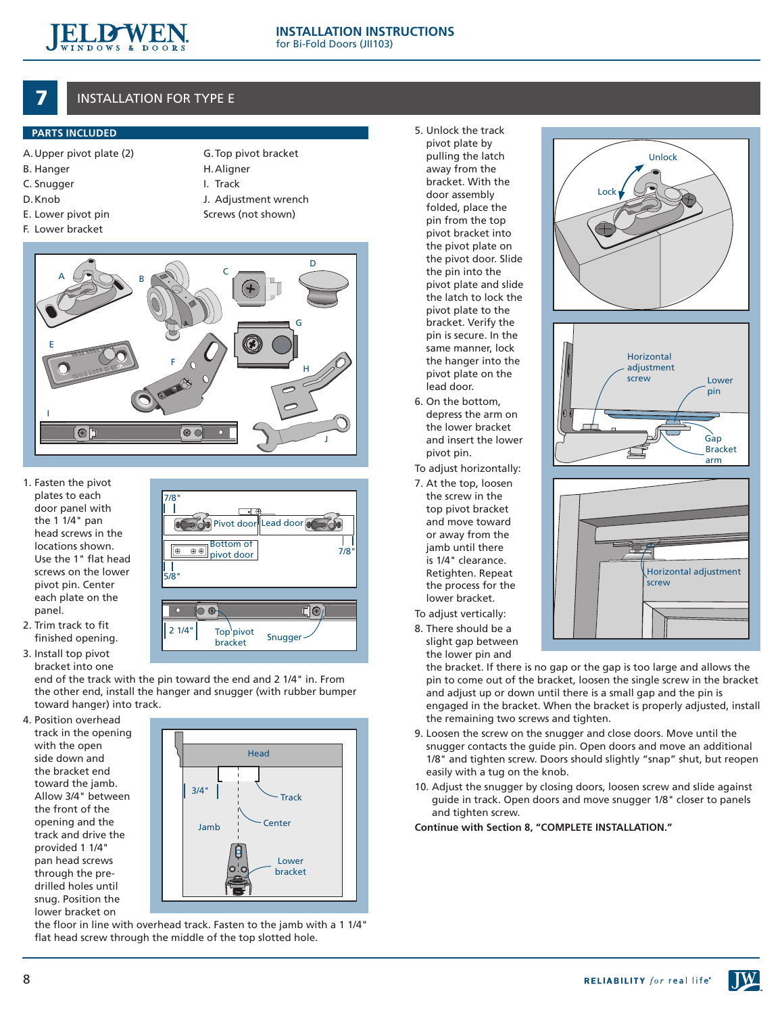

# **INSTALLATION FOR TYPE E**

### **PARTS INCLUDED**

- A.Upper pivot plate (2)
- B. Hanger
- C. Snugger
- D. Knob
- E. Lower pivot pin
- G. Top pivot bracket
- 
- 
- 
- 
- F. Lower bracket

H. Aligner I. Track

- J. Adjustment wrench
- Screws (not shown)



- 1. Fasten the pivot plates to each door panel with the 1 1/4" pan head screws in the locations shown. Use the 1" flat head screws on the lower pivot pin. Center each plate on the panel.
- 2. Trim track to fit finished opening.
- 3. Install top pivot bracket into one

end of the track with the pin toward the end and 2 1/4" in. From the other end, install the hanger and snugger (with rubber bumper toward hanger) into track.

 $\circledast$  $\boxed{\oplus}$ - I

 $\overline{\circ}$ 

2 1/4"

 $\Omega$ 

5/8"

7/8"

4. Position overhead track in the opening with the open side down and the bracket end toward the jamb. Allow 3/4" between the front of the opening and the track and drive the provided 1 1/4" pan head screws through the predrilled holes until snug. Position the lower bracket on



Snugger

∏⊙≀

7/8"

**COO** Pivot door Lead door Bottom of pivot door

> Top<sup>\</sup>pivot bracket

the floor in line with overhead track. Fasten to the jamb with a 1 1/4" flat head screw through the middle of the top slotted hole.

- 5. Unlock the track pivot plate by pulling the latch away from the bracket. With the door assembly folded, place the pin from the top pivot bracket into the pivot plate on the pivot door. Slide the pin into the pivot plate and slide the latch to lock the pivot plate to the bracket. Verify the pin is secure. In the same manner, lock the hanger into the pivot plate on the lead door.
- 6. On the bottom, depress the arm on the lower bracket and insert the lower pivot pin.
- To adjust horizontally:
- 7. At the top, loosen the screw in the top pivot bracket and move toward or away from the jamb until there is 1/4" clearance. Retighten. Repeat the process for the lower bracket.
- To adjust vertically:
- 8. There should be a slight gap between the lower pin and

the bracket. If there is no gap or the gap is too large and allows the pin to come out of the bracket, loosen the single screw in the bracket and adjust up or down until there is a small gap and the pin is engaged in the bracket. When the bracket is properly adjusted, install the remaining two screws and tighten.

- 9. Loosen the screw on the snugger and close doors. Move until the snugger contacts the guide pin. Open doors and move an additional 1/8" and tighten screw. Doors should slightly "snap" shut, but reopen easily with a tug on the knob.
- 10. Adjust the snugger by closing doors, loosen screw and slide against guide in track. Open doors and move snugger 1/8" closer to panels and tighten screw.

**Continue with Section 8, "COMPLETE INSTALLATION."**



Unlock